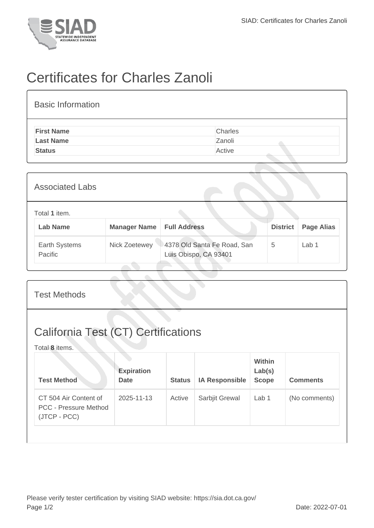

## Certificates for Charles Zanoli

| <b>Basic Information</b> |         |
|--------------------------|---------|
| <b>First Name</b>        | Charles |
| <b>Last Name</b>         | Zanoli  |
| <b>Status</b>            | Active  |
|                          |         |

| <b>Associated Labs</b>           |                                    |                                                      |                 |                   |  |
|----------------------------------|------------------------------------|------------------------------------------------------|-----------------|-------------------|--|
| Total 1 item.<br><b>Lab Name</b> | <b>Manager Name   Full Address</b> |                                                      | <b>District</b> | <b>Page Alias</b> |  |
| Earth Systems<br>Pacific         | Nick Zoetewey                      | 4378 Old Santa Fe Road, San<br>Luis Obispo, CA 93401 | 5               | Lab 1             |  |

| <b>Test Methods</b>                                                   |                                  |               |                       |                                         |                 |  |  |
|-----------------------------------------------------------------------|----------------------------------|---------------|-----------------------|-----------------------------------------|-----------------|--|--|
| <b>California Test (CT) Certifications</b><br>Total 8 items.          |                                  |               |                       |                                         |                 |  |  |
| <b>Test Method</b>                                                    | <b>Expiration</b><br><b>Date</b> | <b>Status</b> | <b>IA Responsible</b> | <b>Within</b><br>Lab(s)<br><b>Scope</b> | <b>Comments</b> |  |  |
| CT 504 Air Content of<br><b>PCC - Pressure Method</b><br>(JTCP - PCC) | 2025-11-13                       | Active        | Sarbjit Grewal        | Lab <sub>1</sub>                        | (No comments)   |  |  |